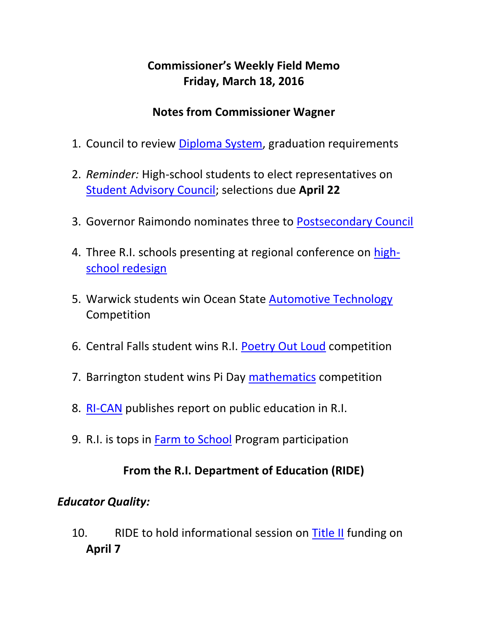## **Commissioner's Weekly Field Memo Friday, March 18, 2016**

#### **Notes from Commissioner Wagner**

- 1. Council to review [Diploma System,](#page-2-0) graduation requirements
- 2. *Reminder:* High-school students to elect representatives on [Student Advisory Council;](#page-4-0) selections due **April 22**
- 3. Governor Raimondo nominates three to [Postsecondary Council](#page-4-0)
- 4. Three R.I. schools presenting at regional conference on [high](#page-5-0)[school redesign](#page-5-0)
- 5. Warwick students win Ocean State [Automotive Technology](#page-2-1) Competition
- 6. Central Falls student wins R.I. [Poetry Out Loud](#page-6-0) competition
- 7. Barrington student wins Pi Day [mathematics](#page-7-0) competition
- 8. [RI-CAN](#page-7-1) publishes report on public education in R.I.
- 9. R.I. is tops in [Farm to School](#page-7-2) Program participation

#### **From the R.I. Department of Education (RIDE)**

#### *Educator Quality:*

10. RIDE to hold informational session on [Title II](#page-8-0) funding on **April 7**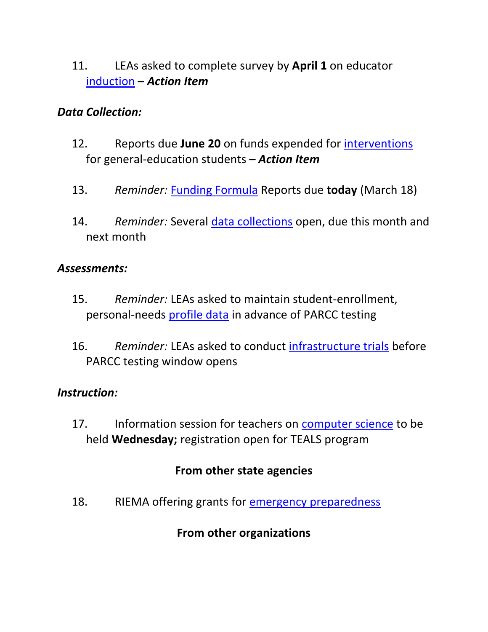11. LEAs asked to complete survey by **April 1** on educator [induction](#page-9-0) **–** *Action Item*

#### *Data Collection:*

- 12. Reports due **June 20** on funds expended for [interventions](#page-9-1) for general-education students **–** *Action Item*
- 13. *Reminder:* [Funding Formula](#page-9-1) Reports due **today** (March 18)
- 14. *Reminder:* Several [data collections](#page-10-0) open, due this month and next month

#### *Assessments:*

- 15. *Reminder:* LEAs asked to maintain student-enrollment, personal-needs [profile data](#page-11-0) in advance of PARCC testing
- 16. *Reminder:* LEAs asked to conduct [infrastructure trials](#page-12-0) before PARCC testing window opens

#### *Instruction:*

17. Information session for teachers on [computer science](#page-12-1) to be held **Wednesday;** registration open for TEALS program

#### **From other state agencies**

18. RIEMA offering grants for [emergency preparedness](#page-13-0)

#### **From other organizations**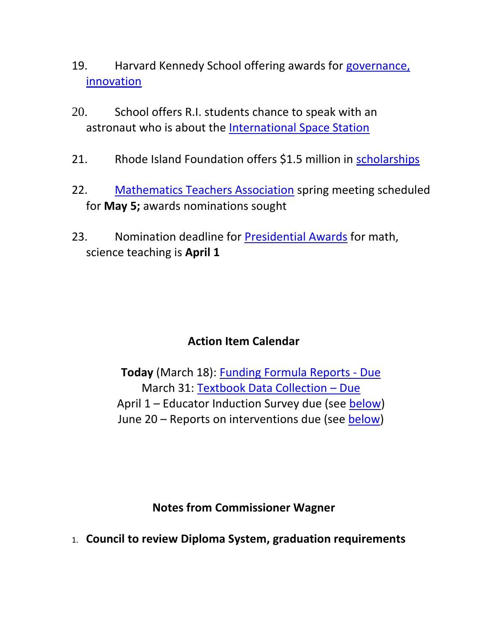- 19. Harvard Kennedy School offering awards for governance, [innovation](#page-15-0)
- 20. School offers R.I. students chance to speak with an astronaut who is about the [International Space Station](#page-16-0)
- 21. Rhode Island Foundation offers \$1.5 million in [scholarships](#page-17-0)
- 22. [Mathematics Teachers Association](#page-18-0) spring meeting scheduled for **May 5;** awards nominations sought
- 23. Nomination deadline for [Presidential Awards](#page-19-0) for math, science teaching is **April 1**

### **Action Item Calendar**

**Today** (March 18): [Funding Formula Reports -](https://www.eride.ri.gov/eRide40/DataDictionary/ViewDetails.aspx?ID=287) Due March 31: [Textbook Data Collection](https://www.eride.ri.gov/eRide40/DataDictionary/ViewDetails.aspx?ID=303) – Due April 1 – Educator Induction Survey due (see [below\)](#page-9-0) June 20 – Reports on interventions due (see [below\)](#page-9-1)

**Notes from Commissioner Wagner**

<span id="page-2-1"></span><span id="page-2-0"></span>1. **Council to review Diploma System, graduation requirements**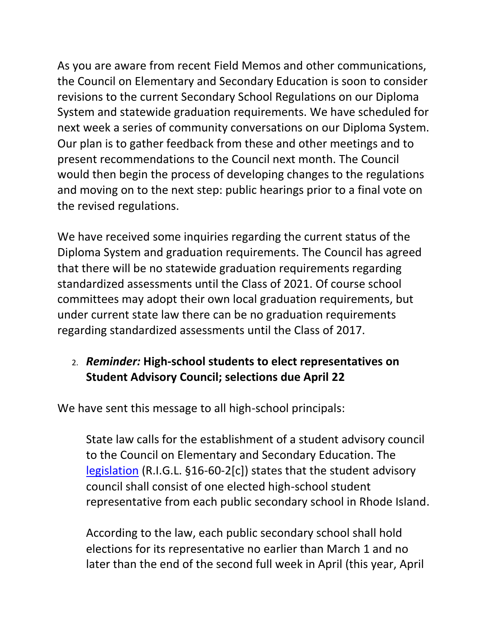As you are aware from recent Field Memos and other communications, the Council on Elementary and Secondary Education is soon to consider revisions to the current Secondary School Regulations on our Diploma System and statewide graduation requirements. We have scheduled for next week a series of community conversations on our Diploma System. Our plan is to gather feedback from these and other meetings and to present recommendations to the Council next month. The Council would then begin the process of developing changes to the regulations and moving on to the next step: public hearings prior to a final vote on the revised regulations.

We have received some inquiries regarding the current status of the Diploma System and graduation requirements. The Council has agreed that there will be no statewide graduation requirements regarding standardized assessments until the Class of 2021. Of course school committees may adopt their own local graduation requirements, but under current state law there can be no graduation requirements regarding standardized assessments until the Class of 2017.

### 2. *Reminder:* **High-school students to elect representatives on Student Advisory Council; selections due April 22**

We have sent this message to all high-school principals:

State law calls for the establishment of a student advisory council to the Council on Elementary and Secondary Education. The [legislation](http://webserver.rilin.state.ri.us/Statutes/TITLE16/16-60/16-60-2.HTM) (R.I.G.L. §16-60-2[c]) states that the student advisory council shall consist of one elected high-school student representative from each public secondary school in Rhode Island.

According to the law, each public secondary school shall hold elections for its representative no earlier than March 1 and no later than the end of the second full week in April (this year, April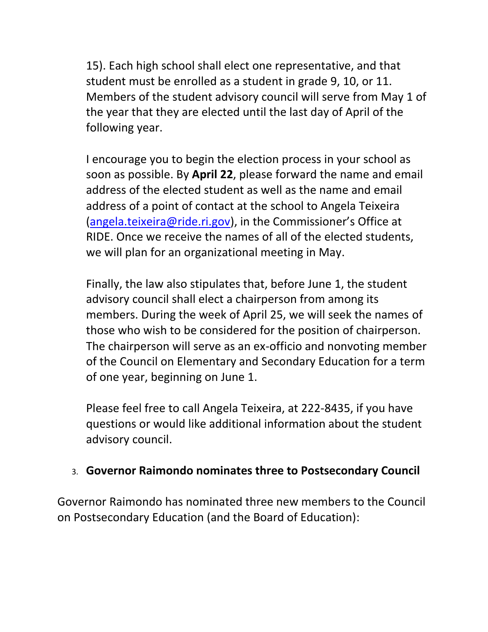15). Each high school shall elect one representative, and that student must be enrolled as a student in grade 9, 10, or 11. Members of the student advisory council will serve from May 1 of the year that they are elected until the last day of April of the following year.

I encourage you to begin the election process in your school as soon as possible. By **April 22**, please forward the name and email address of the elected student as well as the name and email address of a point of contact at the school to Angela Teixeira [\(angela.teixeira@ride.ri.gov](mailto:angela.teixeira@ride.ri.gov)), in the Commissioner's Office at RIDE. Once we receive the names of all of the elected students, we will plan for an organizational meeting in May.

Finally, the law also stipulates that, before June 1, the student advisory council shall elect a chairperson from among its members. During the week of April 25, we will seek the names of those who wish to be considered for the position of chairperson. The chairperson will serve as an ex-officio and nonvoting member of the Council on Elementary and Secondary Education for a term of one year, beginning on June 1.

Please feel free to call Angela Teixeira, at 222-8435, if you have questions or would like additional information about the student advisory council.

#### <span id="page-4-0"></span>3. **Governor Raimondo nominates three to Postsecondary Council**

Governor Raimondo has nominated three new members to the Council on Postsecondary Education (and the Board of Education):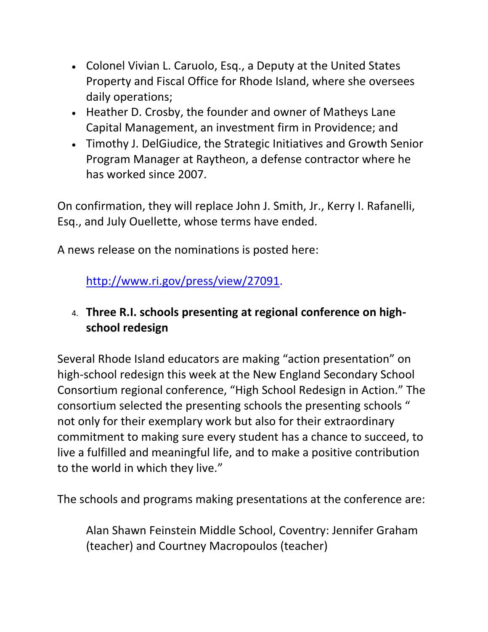- Colonel Vivian L. Caruolo, Esq., a Deputy at the United States Property and Fiscal Office for Rhode Island, where she oversees daily operations;
- Heather D. Crosby, the founder and owner of Matheys Lane Capital Management, an investment firm in Providence; and
- Timothy J. DelGiudice, the Strategic Initiatives and Growth Senior Program Manager at Raytheon, a defense contractor where he has worked since 2007.

On confirmation, they will replace John J. Smith, Jr., Kerry I. Rafanelli, Esq., and July Ouellette, whose terms have ended.

<span id="page-5-0"></span>A news release on the nominations is posted here:

[http://www.ri.gov/press/view/27091.](http://www.ri.gov/press/view/27091)

## 4. **Three R.I. schools presenting at regional conference on highschool redesign**

Several Rhode Island educators are making "action presentation" on high-school redesign this week at the New England Secondary School Consortium regional conference, "High School Redesign in Action." The consortium selected the presenting schools the presenting schools " not only for their exemplary work but also for their extraordinary commitment to making sure every student has a chance to succeed, to live a fulfilled and meaningful life, and to make a positive contribution to the world in which they live."

The schools and programs making presentations at the conference are:

Alan Shawn Feinstein Middle School, Coventry: Jennifer Graham (teacher) and Courtney Macropoulos (teacher)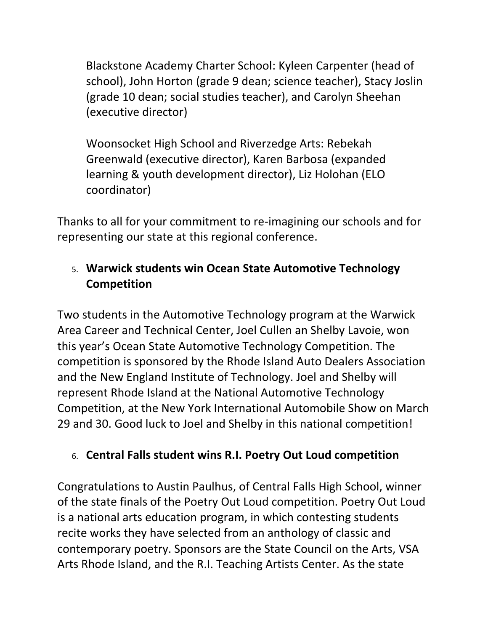Blackstone Academy Charter School: Kyleen Carpenter (head of school), John Horton (grade 9 dean; science teacher), Stacy Joslin (grade 10 dean; social studies teacher), and Carolyn Sheehan (executive director)

Woonsocket High School and Riverzedge Arts: Rebekah Greenwald (executive director), Karen Barbosa (expanded learning & youth development director), Liz Holohan (ELO coordinator)

Thanks to all for your commitment to re-imagining our schools and for representing our state at this regional conference.

## 5. **Warwick students win Ocean State Automotive Technology Competition**

Two students in the Automotive Technology program at the Warwick Area Career and Technical Center, Joel Cullen an Shelby Lavoie, won this year's Ocean State Automotive Technology Competition. The competition is sponsored by the Rhode Island Auto Dealers Association and the New England Institute of Technology. Joel and Shelby will represent Rhode Island at the National Automotive Technology Competition, at the New York International Automobile Show on March 29 and 30. Good luck to Joel and Shelby in this national competition!

### <span id="page-6-0"></span>6. **Central Falls student wins R.I. Poetry Out Loud competition**

Congratulations to Austin Paulhus, of Central Falls High School, winner of the state finals of the Poetry Out Loud competition. Poetry Out Loud is a national arts education program, in which contesting students recite works they have selected from an anthology of classic and contemporary poetry. Sponsors are the State Council on the Arts, VSA Arts Rhode Island, and the R.I. Teaching Artists Center. As the state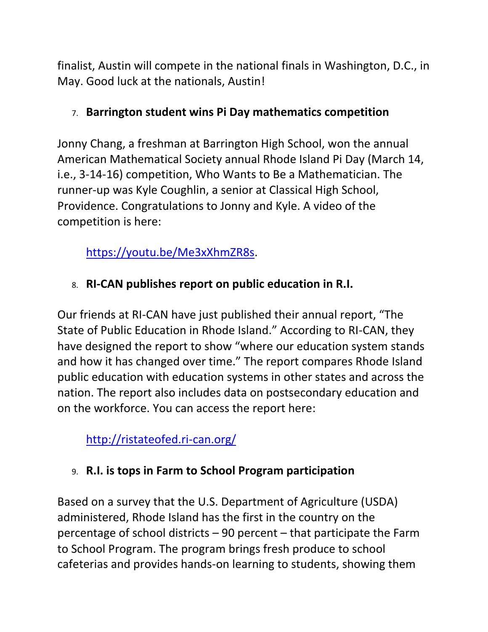finalist, Austin will compete in the national finals in Washington, D.C., in May. Good luck at the nationals, Austin!

### <span id="page-7-0"></span>7. **Barrington student wins Pi Day mathematics competition**

Jonny Chang, a freshman at Barrington High School, won the annual American Mathematical Society annual Rhode Island Pi Day (March 14, i.e., 3-14-16) competition, Who Wants to Be a Mathematician. The runner-up was Kyle Coughlin, a senior at Classical High School, Providence. Congratulations to Jonny and Kyle. A video of the competition is here:

[https://youtu.be/Me3xXhmZR8s.](https://youtu.be/Me3xXhmZR8s)

# <span id="page-7-1"></span>8. **RI-CAN publishes report on public education in R.I.**

Our friends at RI-CAN have just published their annual report, "The State of Public Education in Rhode Island." According to RI-CAN, they have designed the report to show "where our education system stands and how it has changed over time." The report compares Rhode Island public education with education systems in other states and across the nation. The report also includes data on postsecondary education and on the workforce. You can access the report here:

<http://ristateofed.ri-can.org/>

# <span id="page-7-2"></span>9. **R.I. is tops in Farm to School Program participation**

Based on a survey that the U.S. Department of Agriculture (USDA) administered, Rhode Island has the first in the country on the percentage of school districts – 90 percent – that participate the Farm to School Program. The program brings fresh produce to school cafeterias and provides hands-on learning to students, showing them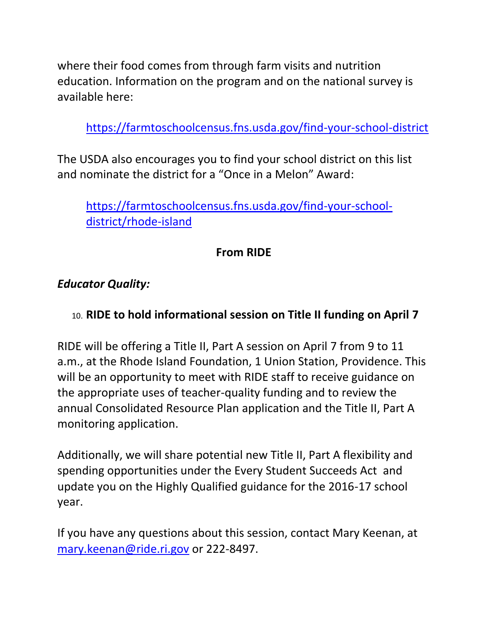where their food comes from through farm visits and nutrition education. Information on the program and on the national survey is available here:

<https://farmtoschoolcensus.fns.usda.gov/find-your-school-district>

The USDA also encourages you to find your school district on this list and nominate the district for a "Once in a Melon" Award:

[https://farmtoschoolcensus.fns.usda.gov/find-your-school](https://farmtoschoolcensus.fns.usda.gov/find-your-school-district/rhode-island)[district/rhode-island](https://farmtoschoolcensus.fns.usda.gov/find-your-school-district/rhode-island)

## **From RIDE**

#### *Educator Quality:*

#### <span id="page-8-0"></span>10. **RIDE to hold informational session on Title II funding on April 7**

RIDE will be offering a Title II, Part A session on April 7 from 9 to 11 a.m., at the Rhode Island Foundation, 1 Union Station, Providence. This will be an opportunity to meet with RIDE staff to receive guidance on the appropriate uses of teacher-quality funding and to review the annual Consolidated Resource Plan application and the Title II, Part A monitoring application.

Additionally, we will share potential new Title II, Part A flexibility and spending opportunities under the Every Student Succeeds Act and update you on the Highly Qualified guidance for the 2016-17 school year.

If you have any questions about this session, contact Mary Keenan, at [mary.keenan@ride.ri.gov](mailto:mary.keenan@ride.ri.gov) or 222-8497.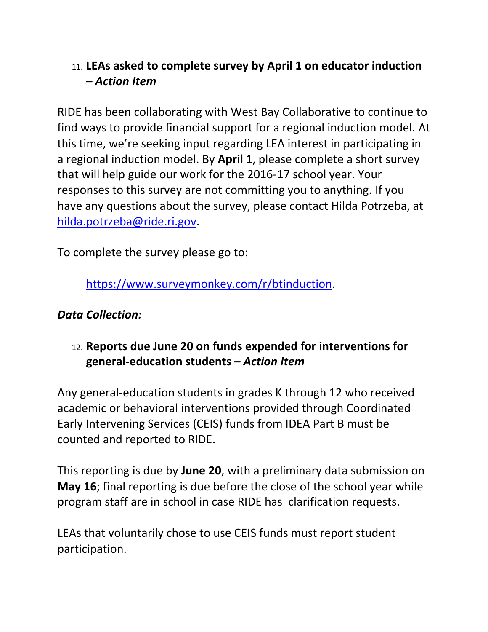## <span id="page-9-0"></span>11. **LEAs asked to complete survey by April 1 on educator induction –** *Action Item*

RIDE has been collaborating with West Bay Collaborative to continue to find ways to provide financial support for a regional induction model. At this time, we're seeking input regarding LEA interest in participating in a regional induction model. By **April 1**, please complete a short survey that will help guide our work for the 2016-17 school year. Your responses to this survey are not committing you to anything. If you have any questions about the survey, please contact Hilda Potrzeba, at [hilda.potrzeba@ride.ri.gov.](mailto:hilda.potrzeba@ride.ri.gov)

To complete the survey please go to:

[https://www.surveymonkey.com/r/btinduction.](https://www.surveymonkey.com/r/btinduction)

### *Data Collection:*

## <span id="page-9-1"></span>12. **Reports due June 20 on funds expended for interventions for general-education students –** *Action Item*

Any general-education students in grades K through 12 who received academic or behavioral interventions provided through Coordinated Early Intervening Services (CEIS) funds from IDEA Part B must be counted and reported to RIDE.

This reporting is due by **June 20**, with a preliminary data submission on **May 16**; final reporting is due before the close of the school year while program staff are in school in case RIDE has clarification requests.

LEAs that voluntarily chose to use CEIS funds must report student participation.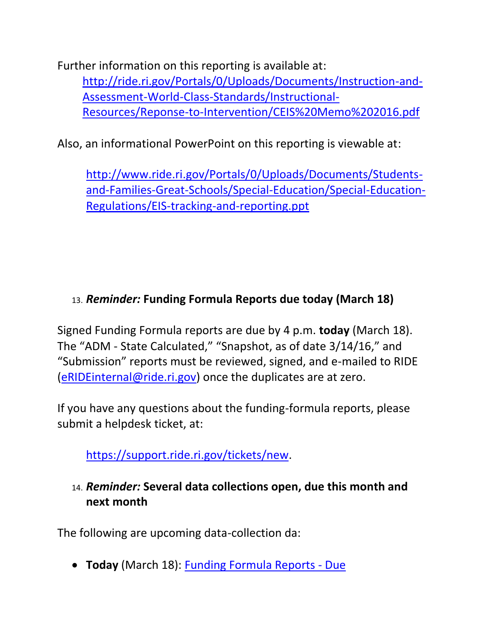Further information on this reporting is available at: [http://ride.ri.gov/Portals/0/Uploads/Documents/Instruction-and-](http://ride.ri.gov/Portals/0/Uploads/Documents/Instruction-and-Assessment-World-Class-Standards/Instructional-Resources/Reponse-to-Intervention/CEIS%20Memo%202016.pdf)[Assessment-World-Class-Standards/Instructional-](http://ride.ri.gov/Portals/0/Uploads/Documents/Instruction-and-Assessment-World-Class-Standards/Instructional-Resources/Reponse-to-Intervention/CEIS%20Memo%202016.pdf)[Resources/Reponse-to-Intervention/CEIS%20Memo%202016.pdf](http://ride.ri.gov/Portals/0/Uploads/Documents/Instruction-and-Assessment-World-Class-Standards/Instructional-Resources/Reponse-to-Intervention/CEIS%20Memo%202016.pdf)

Also, an informational PowerPoint on this reporting is viewable at:

[http://www.ride.ri.gov/Portals/0/Uploads/Documents/Students](http://www.ride.ri.gov/Portals/0/Uploads/Documents/Students-and-Families-Great-Schools/Special-Education/Special-Education-Regulations/EIS-tracking-and-reporting.ppt)[and-Families-Great-Schools/Special-Education/Special-Education-](http://www.ride.ri.gov/Portals/0/Uploads/Documents/Students-and-Families-Great-Schools/Special-Education/Special-Education-Regulations/EIS-tracking-and-reporting.ppt)[Regulations/EIS-tracking-and-reporting.ppt](http://www.ride.ri.gov/Portals/0/Uploads/Documents/Students-and-Families-Great-Schools/Special-Education/Special-Education-Regulations/EIS-tracking-and-reporting.ppt)

## 13. *Reminder:* **Funding Formula Reports due today (March 18)**

Signed Funding Formula reports are due by 4 p.m. **today** (March 18). The "ADM - State Calculated," "Snapshot, as of date 3/14/16," and "Submission" reports must be reviewed, signed, and e-mailed to RIDE [\(eRIDEinternal@ride.ri.gov\)](mailto:eRIDEinternal@ride.ri.gov) once the duplicates are at zero.

If you have any questions about the funding-formula reports, please submit a helpdesk ticket, at:

<https://support.ride.ri.gov/>tickets/new.

<span id="page-10-0"></span>14. *Reminder:* **Several data collections open, due this month and next month**

The following are upcoming data-collection da:

**Today** (March 18): [Funding Formula Reports -](https://www.eride.ri.gov/eRide40/DataDictionary/ViewDetails.aspx?ID=287) Due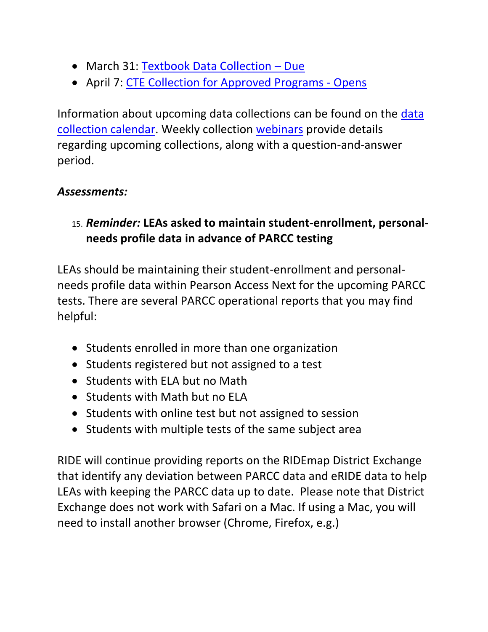- March 31: [Textbook Data Collection](https://www.eride.ri.gov/eRide40/DataDictionary/ViewDetails.aspx?ID=303) Due
- April 7: [CTE Collection for Approved Programs -](https://www.eride.ri.gov/eRide40/DataDictionary/ViewDetails.aspx?ID=306) Opens

Information about upcoming data collections can be found on the [data](https://www.eride.ri.gov/eRide40/DataDictionary/Calendar.aspx)  [collection calendar.](https://www.eride.ri.gov/eRide40/DataDictionary/Calendar.aspx) Weekly collection [webinars](https://attendee.gotowebinar.com/register/1244693710129866241) provide details regarding upcoming collections, along with a question-and-answer period.

### *Assessments:*

<span id="page-11-0"></span>15. *Reminder:* **LEAs asked to maintain student-enrollment, personalneeds profile data in advance of PARCC testing**

LEAs should be maintaining their student-enrollment and personalneeds profile data within Pearson Access Next for the upcoming PARCC tests. There are several PARCC operational reports that you may find helpful:

- Students enrolled in more than one organization
- Students registered but not assigned to a test
- Students with ELA but no Math
- Students with Math but no ELA
- Students with online test but not assigned to session
- Students with multiple tests of the same subject area

RIDE will continue providing reports on the RIDEmap District Exchange that identify any deviation between PARCC data and eRIDE data to help LEAs with keeping the PARCC data up to date. Please note that District Exchange does not work with Safari on a Mac. If using a Mac, you will need to install another browser (Chrome, Firefox, e.g.)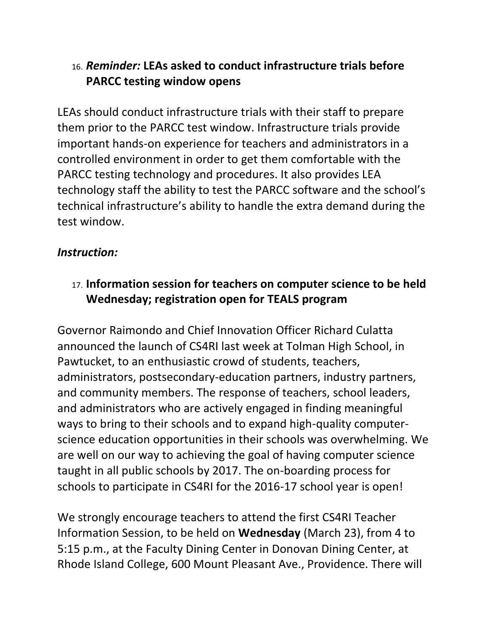## <span id="page-12-0"></span>16. *Reminder:* **LEAs asked to conduct infrastructure trials before PARCC testing window opens**

LEAs should conduct infrastructure trials with their staff to prepare them prior to the PARCC test window. Infrastructure trials provide important hands-on experience for teachers and administrators in a controlled environment in order to get them comfortable with the PARCC testing technology and procedures. It also provides LEA technology staff the ability to test the PARCC software and the school's technical infrastructure's ability to handle the extra demand during the test window.

## *Instruction:*

## <span id="page-12-1"></span>17. **Information session for teachers on computer science to be held Wednesday; registration open for TEALS program**

Governor Raimondo and Chief Innovation Officer Richard Culatta announced the launch of CS4RI last week at Tolman High School, in Pawtucket, to an enthusiastic crowd of students, teachers, administrators, postsecondary-education partners, industry partners, and community members. The response of teachers, school leaders, and administrators who are actively engaged in finding meaningful ways to bring to their schools and to expand high-quality computerscience education opportunities in their schools was overwhelming. We are well on our way to achieving the goal of having computer science taught in all public schools by 2017. The on-boarding process for schools to participate in CS4RI for the 2016-17 school year is open!

We strongly encourage teachers to attend the first CS4RI Teacher Information Session, to be held on **Wednesday** (March 23), from 4 to 5:15 p.m., at the Faculty Dining Center in Donovan Dining Center, at Rhode Island College, 600 Mount Pleasant Ave., Providence. There will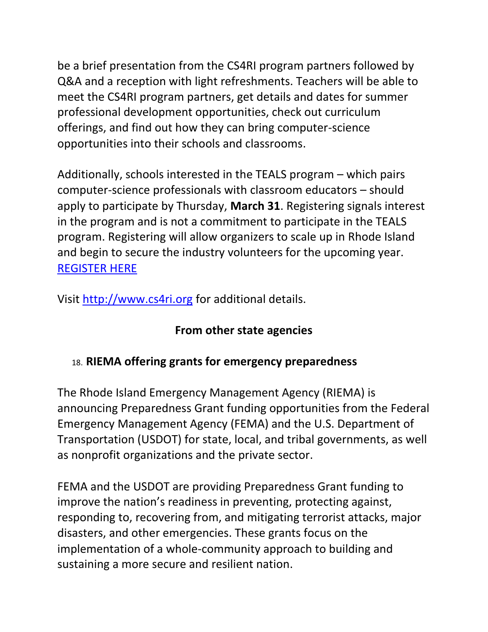be a brief presentation from the CS4RI program partners followed by Q&A and a reception with light refreshments. Teachers will be able to meet the CS4RI program partners, get details and dates for summer professional development opportunities, check out curriculum offerings, and find out how they can bring computer-science opportunities into their schools and classrooms.

Additionally, schools interested in the TEALS program – which pairs computer-science professionals with classroom educators – should apply to participate by Thursday, **March 31**. Registering signals interest in the program and is not a commitment to participate in the TEALS program. Registering will allow organizers to scale up in Rhode Island and begin to secure the industry volunteers for the upcoming year. [REGISTER HERE](https://www.tealsk12.org/wp-login.php%3Fredirect_to=https:/www.tealsk12.org/apply/schools%26reauth=1)

Visit [http://www.cs4ri.org](http://www.cs4ri.org/) for additional details.

### **From other state agencies**

### <span id="page-13-0"></span>18. **RIEMA offering grants for emergency preparedness**

The Rhode Island Emergency Management Agency (RIEMA) is announcing Preparedness Grant funding opportunities from the Federal Emergency Management Agency (FEMA) and the U.S. Department of Transportation (USDOT) for state, local, and tribal governments, as well as nonprofit organizations and the private sector.

FEMA and the USDOT are providing Preparedness Grant funding to improve the nation's readiness in preventing, protecting against, responding to, recovering from, and mitigating terrorist attacks, major disasters, and other emergencies. These grants focus on the implementation of a whole-community approach to building and sustaining a more secure and resilient nation.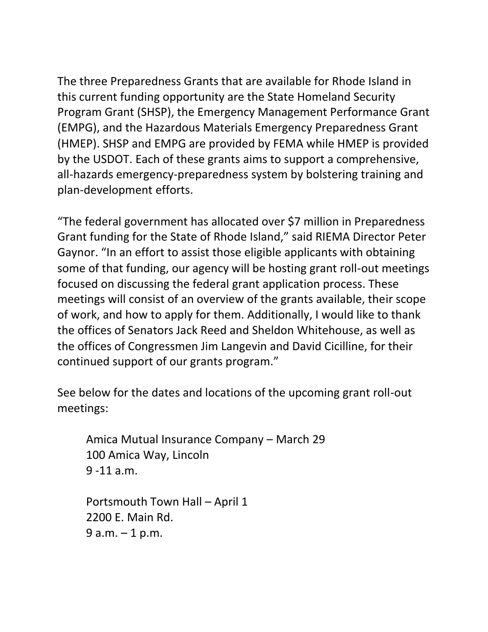The three Preparedness Grants that are available for Rhode Island in this current funding opportunity are the State Homeland Security Program Grant (SHSP), the Emergency Management Performance Grant (EMPG), and the Hazardous Materials Emergency Preparedness Grant (HMEP). SHSP and EMPG are provided by FEMA while HMEP is provided by the USDOT. Each of these grants aims to support a comprehensive, all-hazards emergency-preparedness system by bolstering training and plan-development efforts.

"The federal government has allocated over \$7 million in Preparedness Grant funding for the State of Rhode Island," said RIEMA Director Peter Gaynor. "In an effort to assist those eligible applicants with obtaining some of that funding, our agency will be hosting grant roll-out meetings focused on discussing the federal grant application process. These meetings will consist of an overview of the grants available, their scope of work, and how to apply for them. Additionally, I would like to thank the offices of Senators Jack Reed and Sheldon Whitehouse, as well as the offices of Congressmen Jim Langevin and David Cicilline, for their continued support of our grants program."

See below for the dates and locations of the upcoming grant roll-out meetings:

Amica Mutual Insurance Company – March 29 100 Amica Way, Lincoln 9 -11 a.m.

Portsmouth Town Hall – April 1 2200 E. Main Rd. 9 a.m. – 1 p.m.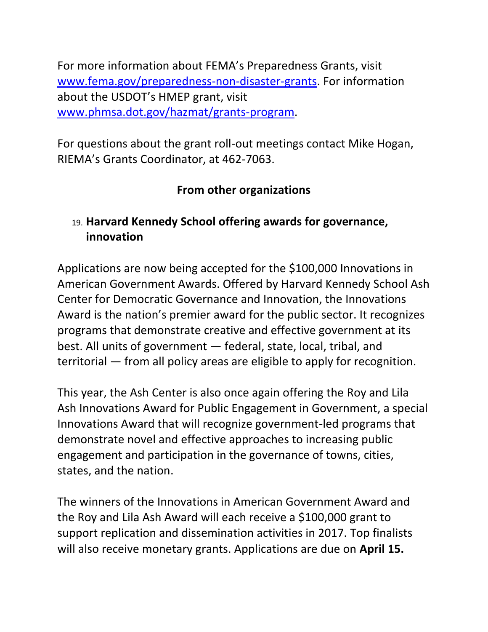For more information about FEMA's Preparedness Grants, visit [www.fema.gov/preparedness-non-disaster-grants.](http://www.fema.gov/preparedness-non-disaster-grants) For information about the USDOT's HMEP grant, visit [www.phmsa.dot.gov/hazmat/grants-program.](http://www.phmsa.dot.gov/hazmat/grants-program)

For questions about the grant roll-out meetings contact Mike Hogan, RIEMA's Grants Coordinator, at 462-7063.

## **From other organizations**

## <span id="page-15-0"></span>19. **Harvard Kennedy School offering awards for governance, innovation**

Applications are now being accepted for the \$100,000 Innovations in American Government Awards. Offered by Harvard Kennedy School Ash Center for Democratic Governance and Innovation, the Innovations Award is the nation's premier award for the public sector. It recognizes programs that demonstrate creative and effective government at its best. All units of government — federal, state, local, tribal, and territorial — from all policy areas are eligible to apply for recognition.

This year, the Ash Center is also once again offering the Roy and Lila Ash Innovations Award for Public Engagement in Government, a special Innovations Award that will recognize government-led programs that demonstrate novel and effective approaches to increasing public engagement and participation in the governance of towns, cities, states, and the nation.

The winners of the Innovations in American Government Award and the Roy and Lila Ash Award will each receive a \$100,000 grant to support replication and dissemination activities in 2017. Top finalists will also receive monetary grants. Applications are due on **April 15.**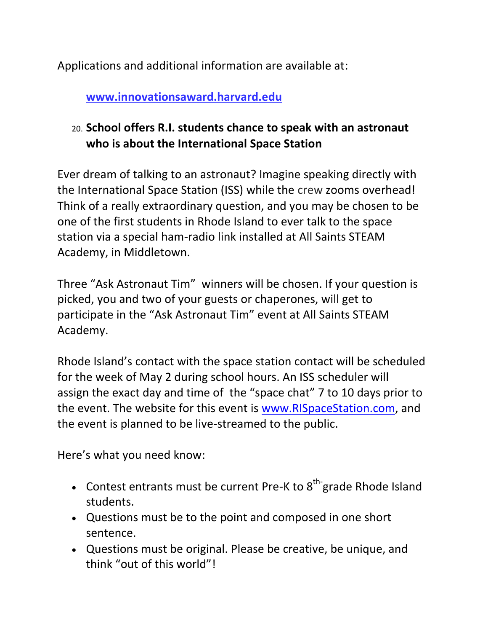Applications and additional information are available at:

<span id="page-16-0"></span>**[www.innovationsaward.harvard.edu](http://www.innovationsaward.harvard.edu/)**

# 20. **School offers R.I. students chance to speak with an astronaut who is about the International Space Station**

Ever dream of talking to an astronaut? Imagine speaking directly with the International Space Station (ISS) while the crew zooms overhead! Think of a really extraordinary question, and you may be chosen to be one of the first students in Rhode Island to ever talk to the space station via a special ham-radio link installed at All Saints STEAM Academy, in Middletown.

Three "Ask Astronaut Tim" winners will be chosen. If your question is picked, you and two of your guests or chaperones, will get to participate in the "Ask Astronaut Tim" event at All Saints STEAM Academy.

Rhode Island's contact with the space station contact will be scheduled for the week of May 2 during school hours. An ISS scheduler will assign the exact day and time of the "space chat" 7 to 10 days prior to the event. The website for this event is [www.RISpaceStation.com,](http://www.rispacestation.com/) and the event is planned to be live-streamed to the public.

Here's what you need know:

- Contest entrants must be current Pre-K to  $8<sup>th</sup>$  grade Rhode Island students.
- Questions must be to the point and composed in one short sentence.
- Questions must be original. Please be creative, be unique, and think "out of this world"!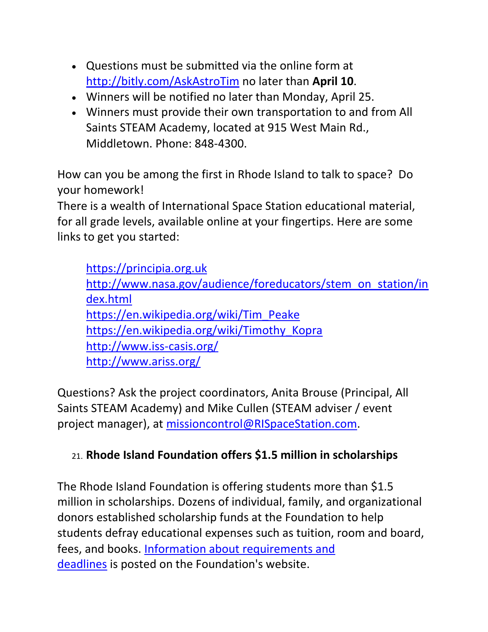- Questions must be submitted via the online form at <http://bitly.com/AskAstroTim> no later than **April 10**.
- Winners will be notified no later than Monday, April 25.
- Winners must provide their own transportation to and from All Saints STEAM Academy, located at 915 West Main Rd., Middletown. Phone: 848-4300.

How can you be among the first in Rhode Island to talk to space? Do your homework!

There is a wealth of International Space Station educational material, for all grade levels, available online at your fingertips. Here are some links to get you started:

[https://principia.org.uk](https://principia.org.uk/) [http://www.nasa.gov/audience/foreducators/stem\\_on\\_station/in](http://www.nasa.gov/audience/foreducators/stem_on_station/index.html) [dex.html](http://www.nasa.gov/audience/foreducators/stem_on_station/index.html) [https://en.wikipedia.org/wiki/Tim\\_Peake](https://en.wikipedia.org/wiki/Tim_Peake) [https://en.wikipedia.org/wiki/Timothy\\_Kopra](https://en.wikipedia.org/wiki/Timothy_Kopra) <http://www.iss-casis.org/> <http://www.ariss.org/>

Questions? Ask the project coordinators, Anita Brouse (Principal, All Saints STEAM Academy) and Mike Cullen (STEAM adviser / event project manager), at [missioncontrol@RISpaceStation.com.](mailto:missioncontrol@RISpaceStation.com)

## <span id="page-17-0"></span>21. **Rhode Island Foundation offers \$1.5 million in scholarships**

The Rhode Island Foundation is offering students more than \$1.5 million in scholarships. Dozens of individual, family, and organizational donors established scholarship funds at the Foundation to help students defray educational expenses such as tuition, room and board, fees, and books. [Information about requirements and](http://www.rifoundation.org/WorkingTogether/ForScholarshipSeekers/ScholarshipFellowshipOpportunities.aspx)  [deadlines](http://www.rifoundation.org/WorkingTogether/ForScholarshipSeekers/ScholarshipFellowshipOpportunities.aspx) is posted on the Foundation's website.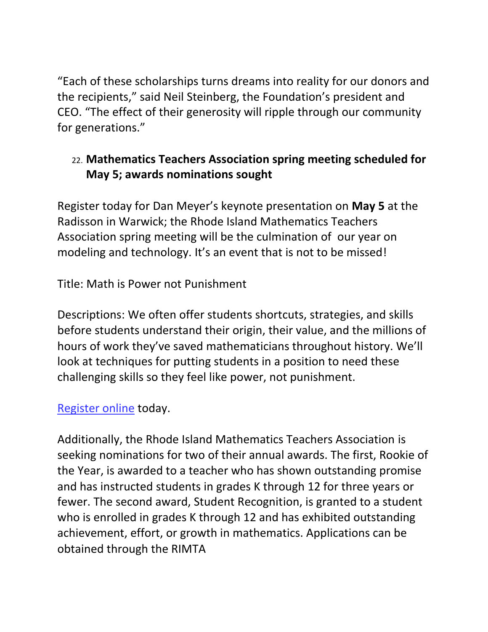"Each of these scholarships turns dreams into reality for our donors and the recipients," said Neil Steinberg, the Foundation's president and CEO. "The effect of their generosity will ripple through our community for generations."

## <span id="page-18-0"></span>22. **Mathematics Teachers Association spring meeting scheduled for May 5; awards nominations sought**

Register today for Dan Meyer's keynote presentation on **May 5** at the Radisson in Warwick; the Rhode Island Mathematics Teachers Association spring meeting will be the culmination of our year on modeling and technology. It's an event that is not to be missed!

Title: Math is Power not Punishment

Descriptions: We often offer students shortcuts, strategies, and skills before students understand their origin, their value, and the millions of hours of work they've saved mathematicians throughout history. We'll look at techniques for putting students in a position to need these challenging skills so they feel like power, not punishment.

### [Register online](https://docs.google.com/forms/d/1-saNG4TcC3xQX3BVbkX4SPYtWWlO9eqmuDr6Pmh2WAg/viewform?c=0&w=1) today.

Additionally, the Rhode Island Mathematics Teachers Association is seeking nominations for two of their annual awards. The first, Rookie of the Year, is awarded to a teacher who has shown outstanding promise and has instructed students in grades K through 12 for three years or fewer. The second award, Student Recognition, is granted to a student who is enrolled in grades K through 12 and has exhibited outstanding achievement, effort, or growth in mathematics. Applications can be obtained through the RIMTA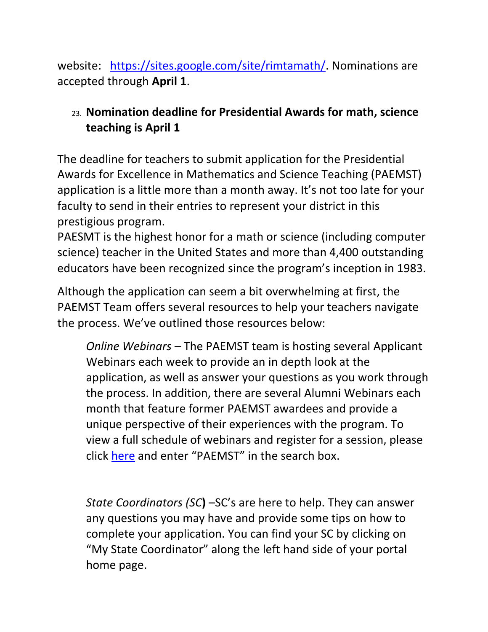website: [https://sites.google.com/site/rimtamath/.](https://sites.google.com/site/rimtamath/) Nominations are accepted through **April 1**.

## <span id="page-19-0"></span>23. **Nomination deadline for Presidential Awards for math, science teaching is April 1**

The deadline for teachers to submit application for the Presidential Awards for Excellence in Mathematics and Science Teaching (PAEMST) application is a little more than a month away. It's not too late for your faculty to send in their entries to represent your district in this prestigious program.

PAESMT is the highest honor for a math or science (including computer science) teacher in the United States and more than 4,400 outstanding educators have been recognized since the program's inception in 1983.

Although the application can seem a bit overwhelming at first, the PAEMST Team offers several resources to help your teachers navigate the process. We've outlined those resources below:

*Online Webinars –* The PAEMST team is hosting several Applicant Webinars each week to provide an in depth look at the application, as well as answer your questions as you work through the process. In addition, there are several Alumni Webinars each month that feature former PAEMST awardees and provide a unique perspective of their experiences with the program. To view a full schedule of webinars and register for a session, please click [here](https://nsf.webex.com/mw0307l/mywebex/default.do?siteurl=nsf&service=0) and enter "PAEMST" in the search box.

*State Coordinators (SC***)** –SC's are here to help. They can answer any questions you may have and provide some tips on how to complete your application. You can find your SC by clicking on "My State Coordinator" along the left hand side of your portal home page.